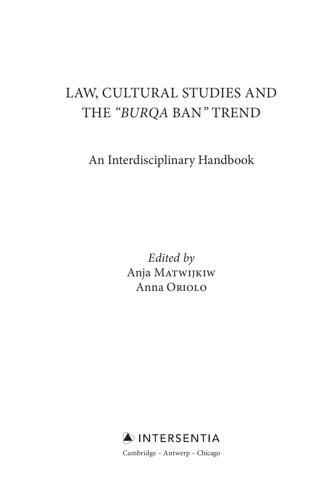# LAW, CULTURAL STUDIES AND THE "BURQA BAN" TREND

An Interdisciplinary Handbook

 *Edited by*  Anja Matwijkiw Anna Oriolo

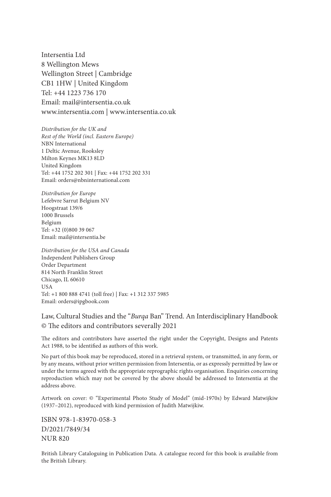Intersentia Ltd 8 Wellington Mews Wellington Street | Cambridge CB1 1HW | United Kingdom Tel: +44 1223 736 170 Email: mail@intersentia.co.uk www.intersentia.com | www.intersentia.co.uk

*Distribution for the UK and Rest of the World (incl. Eastern Europe)* NBN International 1 Deltic Avenue, Rooksley Milton Keynes MK13 8LD United Kingdom Tel: +44 1752 202 301 | Fax: +44 1752 202 331 Email: orders@nbninternational.com

*Distribution for Europe* Lefebvre Sarrut Belgium NV Hoogstraat 139/6 1000 Brussels Belgium Tel: +32 (0)800 39 067 Email: mail@intersentia.be

*Distribution for the USA and Canada* Independent Publishers Group Order Department 814 North Franklin Street Chicago, IL 60610 **USA** Tel: +1 800 888 4741 (toll free) | Fax: +1 312 337 5985 Email: orders@ipgbook.com

#### Law, Cultural Studies and the "*Burqa* Ban" Trend. An Interdisciplinary Handbook © The editors and contributors severally 2021

The editors and contributors have asserted the right under the Copyright, Designs and Patents Act 1988, to be identified as authors of this work.

 No part of this book may be reproduced, stored in a retrieval system, or transmitted, in any form, or by any means, without prior written permission from Intersentia, or as expressly permitted by law or under the terms agreed with the appropriate reprographic rights organisation. Enquiries concerning reproduction which may not be covered by the above should be addressed to Intersentia at the address above.

 Artwork on cover: © "Experimental Photo Study of Model" (mid-1970s) by Edward Matwijkiw (1937–2012), reproduced with kind permission of Judith Matwijkiw.

 ISBN 978-1-83970-058-3 D/2021/7849/34 NUR 820

 British Library Cataloguing in Publication Data. A catalogue record for this book is available from the British Library.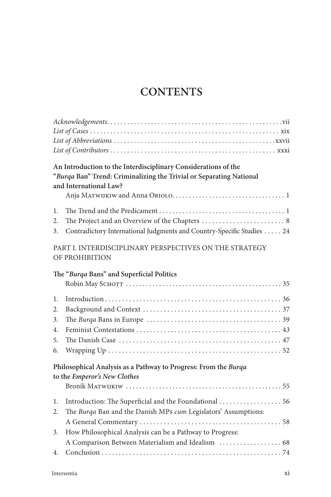# **CONTENTS**

|                                  | An Introduction to the Interdisciplinary Considerations of the<br>"Burqa Ban" Trend: Criminalizing the Trivial or Separating National<br>and International Law?                      |
|----------------------------------|--------------------------------------------------------------------------------------------------------------------------------------------------------------------------------------|
| 1.<br>2.<br>3.                   | Contradictory International Judgments and Country-Specific Studies  24                                                                                                               |
|                                  | PART I. INTERDISCIPLINARY PERSPECTIVES ON THE STRATEGY<br>OF PROHIBITION                                                                                                             |
|                                  | The "Burqa Bans" and Superficial Politics                                                                                                                                            |
| 1.<br>2.<br>3.<br>4.<br>5.<br>6. |                                                                                                                                                                                      |
|                                  | Philosophical Analysis as a Pathway to Progress: From the Burqa<br>to the Emperor's New Clothes                                                                                      |
| 1.<br>2.<br>3.                   | Introduction: The Superficial and the Foundational  56<br>The Burqa Ban and the Danish MPs cum Legislators' Assumptions:<br>How Philosophical Analysis can be a Pathway to Progress: |
| 4.                               | A Comparison Between Materialism and Idealism  68                                                                                                                                    |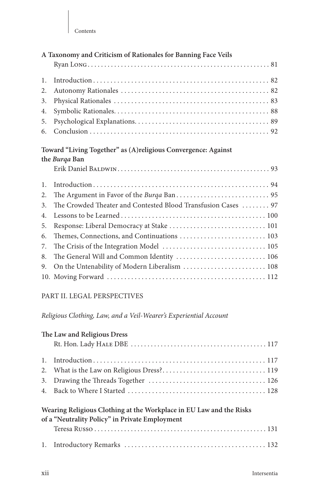| A Taxonomy and Criticism of Rationales for Banning Face Veils |  |  |
|---------------------------------------------------------------|--|--|
|                                                               |  |  |
|                                                               |  |  |
|                                                               |  |  |
|                                                               |  |  |
|                                                               |  |  |
|                                                               |  |  |
|                                                               |  |  |

#### **Toward "Living Together" as (A)religious Convergence: Against the** *Burqa* **Ban**

| 1.                                                               |
|------------------------------------------------------------------|
|                                                                  |
| 3. The Crowded Theater and Contested Blood Transfusion Cases  97 |
|                                                                  |
|                                                                  |
|                                                                  |
|                                                                  |
|                                                                  |
| 9. On the Untenability of Modern Liberalism  108                 |
|                                                                  |
|                                                                  |

#### PART II. LEGAL PERSPECTIVES

#### *Religious Clothing, Law, and a Veil-Wearer's Experiential Account*

#### **The Law and Religious Dress**

### **Wearing Religious Clothing at the Workplace in EU Law and the Risks of a "Neutrality Policy" in Private Employment**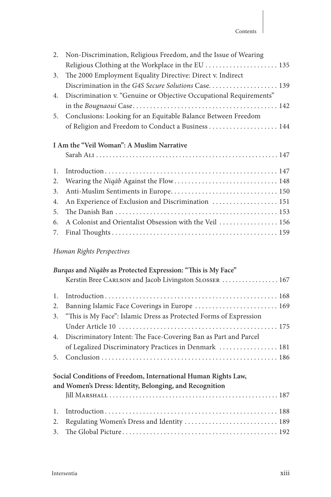| 2.                        | Non-Discrimination, Religious Freedom, and the Issue of Wearing<br>Religious Clothing at the Workplace in the EU  135 |
|---------------------------|-----------------------------------------------------------------------------------------------------------------------|
| 3.                        | The 2000 Employment Equality Directive: Direct v. Indirect                                                            |
|                           |                                                                                                                       |
| 4.                        | Discrimination v. "Genuine or Objective Occupational Requirements"                                                    |
|                           |                                                                                                                       |
| 5.                        | Conclusions: Looking for an Equitable Balance Between Freedom                                                         |
|                           |                                                                                                                       |
|                           | I Am the "Veil Woman": A Muslim Narrative                                                                             |
| $\mathbf{1}$ .            |                                                                                                                       |
| 2.                        |                                                                                                                       |
| 3.                        | Anti-Muslim Sentiments in Europe 150                                                                                  |
| 4.                        | An Experience of Exclusion and Discrimination  151                                                                    |
| 5.                        |                                                                                                                       |
| 6.                        | A Colonist and Orientalist Obsession with the Veil  156                                                               |
| 7.                        |                                                                                                                       |
| Human Rights Perspectives |                                                                                                                       |
|                           | Burgas and Niqabs as Protected Expression: "This is My Face"                                                          |
|                           | Kerstin Bree CARLSON and Jacob Livingston SLOSSER  167                                                                |

| 2. Banning Islamic Face Coverings in Europe  169                     |
|----------------------------------------------------------------------|
| 3. "This is My Face": Islamic Dress as Protected Forms of Expression |
|                                                                      |
| 4. Discriminatory Intent: The Face-Covering Ban as Part and Parcel   |
| of Legalized Discriminatory Practices in Denmark  181                |
|                                                                      |

# **Social Conditions of Freedom, International Human Rights Law, and Women's Dress: Identity, Belonging, and Recognition**

| 2. Regulating Women's Dress and Identity  189 |
|-----------------------------------------------|
|                                               |
|                                               |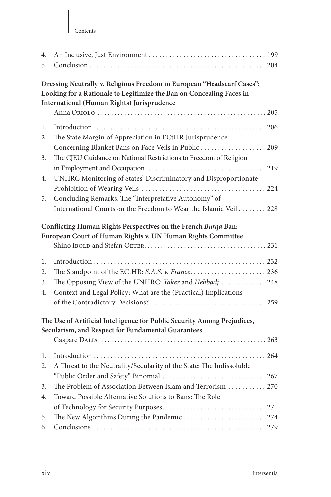| 4.<br>5.                                                                                                                       |                                                                                                                                                                                              |  |
|--------------------------------------------------------------------------------------------------------------------------------|----------------------------------------------------------------------------------------------------------------------------------------------------------------------------------------------|--|
|                                                                                                                                | Dressing Neutrally v. Religious Freedom in European "Headscarf Cases":<br>Looking for a Rationale to Legitimize the Ban on Concealing Faces in<br>International (Human Rights) Jurisprudence |  |
| 1.<br>2.                                                                                                                       | The State Margin of Appreciation in ECtHR Jurisprudence                                                                                                                                      |  |
| 3.                                                                                                                             | Concerning Blanket Bans on Face Veils in Public  209<br>The CJEU Guidance on National Restrictions to Freedom of Religion                                                                    |  |
| 4.                                                                                                                             | UNHRC Monitoring of States' Discriminatory and Disproportionate                                                                                                                              |  |
| 5.                                                                                                                             | Concluding Remarks: The "Interpretative Autonomy" of                                                                                                                                         |  |
|                                                                                                                                | International Courts on the Freedom to Wear the Islamic Veil 228                                                                                                                             |  |
|                                                                                                                                | Conflicting Human Rights Perspectives on the French Burqa Ban:<br>European Court of Human Rights v. UN Human Rights Committee                                                                |  |
| 1.<br>2.<br>3.<br>4.                                                                                                           | The Standpoint of the ECtHR: S.A.S. v. France 236<br>The Opposing View of the UNHRC: Yaker and Hebbadj  248<br>Context and Legal Policy: What are the (Practical) Implications               |  |
| The Use of Artificial Intelligence for Public Security Among Prejudices,<br>Secularism, and Respect for Fundamental Guarantees |                                                                                                                                                                                              |  |
| 1.                                                                                                                             |                                                                                                                                                                                              |  |
| 2.                                                                                                                             | A Threat to the Neutrality/Secularity of the State: The Indissoluble                                                                                                                         |  |
|                                                                                                                                |                                                                                                                                                                                              |  |
| 3.<br>4.                                                                                                                       | The Problem of Association Between Islam and Terrorism  270<br>Toward Possible Alternative Solutions to Bans: The Role                                                                       |  |
|                                                                                                                                |                                                                                                                                                                                              |  |
| 5.                                                                                                                             | The New Algorithms During the Pandemic 274                                                                                                                                                   |  |
| 6.                                                                                                                             |                                                                                                                                                                                              |  |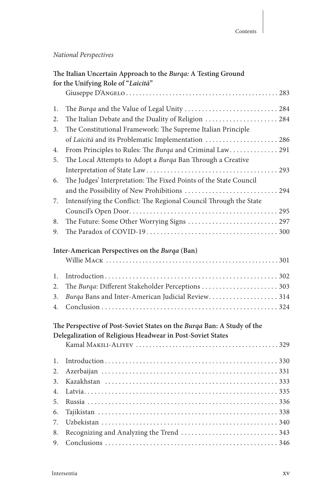# *National Perspectives*

|    | The Italian Uncertain Approach to the Burqa: A Testing Ground<br>for the Unifying Role of "Laicità" |
|----|-----------------------------------------------------------------------------------------------------|
|    |                                                                                                     |
| 1. |                                                                                                     |
| 2. | The Italian Debate and the Duality of Religion  284                                                 |
| 3. | The Constitutional Framework: The Supreme Italian Principle                                         |
|    | of Laicità and its Problematic Implementation  286                                                  |
| 4. | From Principles to Rules: The Burga and Criminal Law 291                                            |
| 5. | The Local Attempts to Adopt a Burqa Ban Through a Creative                                          |
|    |                                                                                                     |
| 6. | The Judges' Interpretation: The Fixed Points of the State Council                                   |
|    |                                                                                                     |
| 7. | Intensifying the Conflict: The Regional Council Through the State                                   |
|    |                                                                                                     |
| 8. |                                                                                                     |
| 9. |                                                                                                     |
|    |                                                                                                     |
|    | Inter-American Perspectives on the Burqa (Ban)                                                      |
| 1. |                                                                                                     |
| 2. | The Burqa: Different Stakeholder Perceptions  303                                                   |
| 3. | Burqa Bans and Inter-American Judicial Review314                                                    |
| 4. |                                                                                                     |
|    |                                                                                                     |
|    | The Perspective of Post-Soviet States on the Burga Ban: A Study of the                              |
|    | Delegalization of Religious Headwear in Post-Soviet States                                          |
|    |                                                                                                     |
| 1. |                                                                                                     |
| 2. |                                                                                                     |
| 3. |                                                                                                     |
| 4. |                                                                                                     |
| 5. |                                                                                                     |
| 6. |                                                                                                     |
| 7. |                                                                                                     |
| 8. |                                                                                                     |
| 9. |                                                                                                     |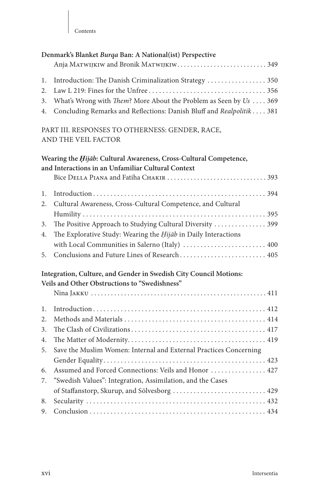|                | Denmark's Blanket Burqa Ban: A National(ist) Perspective<br>Anja MATWIJKIW and Bronik MATWIJKIW349                         |
|----------------|----------------------------------------------------------------------------------------------------------------------------|
| 1.<br>2.<br>3. | Introduction: The Danish Criminalization Strategy  350<br>What's Wrong with Them? More About the Problem as Seen by Us 369 |
| 4.             | Concluding Remarks and Reflections: Danish Bluff and Realpolitik 381                                                       |
|                | PART III. RESPONSES TO OTHERNESS: GENDER, RACE,<br>AND THE VEIL FACTOR                                                     |
|                | Wearing the Hijāb: Cultural Awareness, Cross-Cultural Competence,<br>and Interactions in an Unfamiliar Cultural Context    |
|                |                                                                                                                            |
| 1.             |                                                                                                                            |
| 2.             | Cultural Awareness, Cross-Cultural Competence, and Cultural                                                                |
|                |                                                                                                                            |
| 3.             | The Positive Approach to Studying Cultural Diversity  399                                                                  |
| 4.             | The Explorative Study: Wearing the Hijab in Daily Interactions                                                             |
|                | with Local Communities in Salerno (Italy)  400                                                                             |
| 5.             | Conclusions and Future Lines of Research 405                                                                               |
|                | Integration, Culture, and Gender in Swedish City Council Motions:                                                          |
|                | Veils and Other Obstructions to "Swedishness"                                                                              |
|                |                                                                                                                            |
| 1.             |                                                                                                                            |
| 2.             |                                                                                                                            |
| 3.             |                                                                                                                            |
| 4.             |                                                                                                                            |
| 5.             | Save the Muslim Women: Internal and External Practices Concerning                                                          |
|                |                                                                                                                            |
| 6.             | Assumed and Forced Connections: Veils and Honor  427                                                                       |
| 7.             | "Swedish Values": Integration, Assimilation, and the Cases                                                                 |
|                | of Staffanstorp, Skurup, and Sölvesborg  429                                                                               |
| 8.             |                                                                                                                            |
| 9.             |                                                                                                                            |